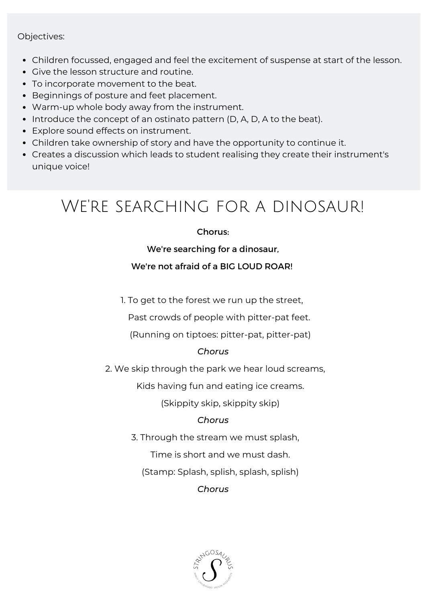#### Objectives:

- Children focussed, engaged and feel the excitement of suspense at start of the lesson.
- Give the lesson structure and routine.
- To incorporate movement to the beat.
- Beginnings of posture and feet placement.
- Warm-up whole body away from the instrument.
- Introduce the concept of an ostinato pattern (D, A, D, A to the beat).
- Explore sound effects on instrument.
- Children take ownership of story and have the opportunity to continue it.
- Creates a discussion which leads to student realising they create their instrument's unique voice!

## We're searching for a dinosaur!

#### Chorus:

#### We're searching for a dinosaur,

#### We're not afraid of a BIG LOUD ROAR!

1. To get to the forest we run up the street,

Past crowds of people with pitter-pat feet.

(Running on tiptoes: pitter-pat, pitter-pat)

#### *Chorus*

2. We skip through the park we hear loud screams,

Kids having fun and eating ice creams.

(Skippity skip, skippity skip)

#### *Chorus*

3. Through the stream we must splash,

Time is short and we must dash.

(Stamp: Splash, splish, splash, splish)

*Chorus*

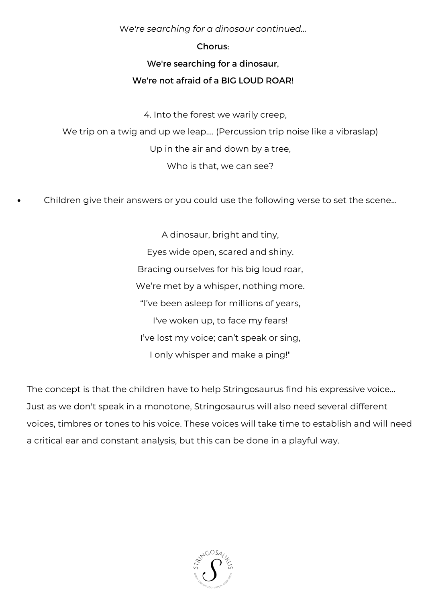W*e're searching for a dinosaur continued...*

#### Chorus:

#### We're searching for a dinosaur,

#### We're not afraid of a BIG LOUD ROAR!

4. Into the forest we warily creep,

We trip on a twig and up we leap.... (Percussion trip noise like a vibraslap) Up in the air and down by a tree, Who is that, we can see?

Children give their answers or you could use the following verse to set the scene...

A dinosaur, bright and tiny, Eyes wide open, scared and shiny. Bracing ourselves for his big loud roar, We're met by a whisper, nothing more. "I've been asleep for millions of years, I've woken up, to face my fears! I've lost my voice; can't speak or sing, I only whisper and make a ping!"

The concept is that the children have to help Stringosaurus find his expressive voice... Just as we don't speak in a monotone, Stringosaurus will also need several different voices, timbres or tones to his voice. These voices will take time to establish and will need a critical ear and constant analysis, but this can be done in a playful way.

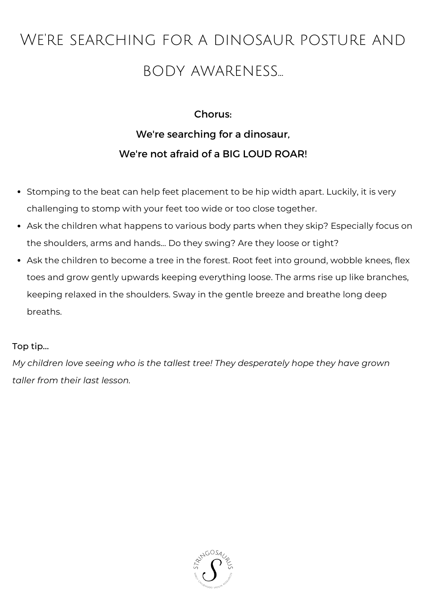# We're searching for a dinosaur posture and body awareness...

### Chorus: We're searching for a dinosaur, We're not afraid of a BIG LOUD ROAR!

- Stomping to the beat can help feet placement to be hip width apart. Luckily, it is very challenging to stomp with your feet too wide or too close together.
- Ask the children what happens to various body parts when they skip? Especially focus on the shoulders, arms and hands... Do they swing? Are they loose or tight?
- Ask the children to become a tree in the forest. Root feet into ground, wobble knees, flex toes and grow gently upwards keeping everything loose. The arms rise up like branches, keeping relaxed in the shoulders. Sway in the gentle breeze and breathe long deep breaths.

#### Top tip...

*My children love seeing who is the tallest tree! They desperately hope they have grown taller from their last lesson.*